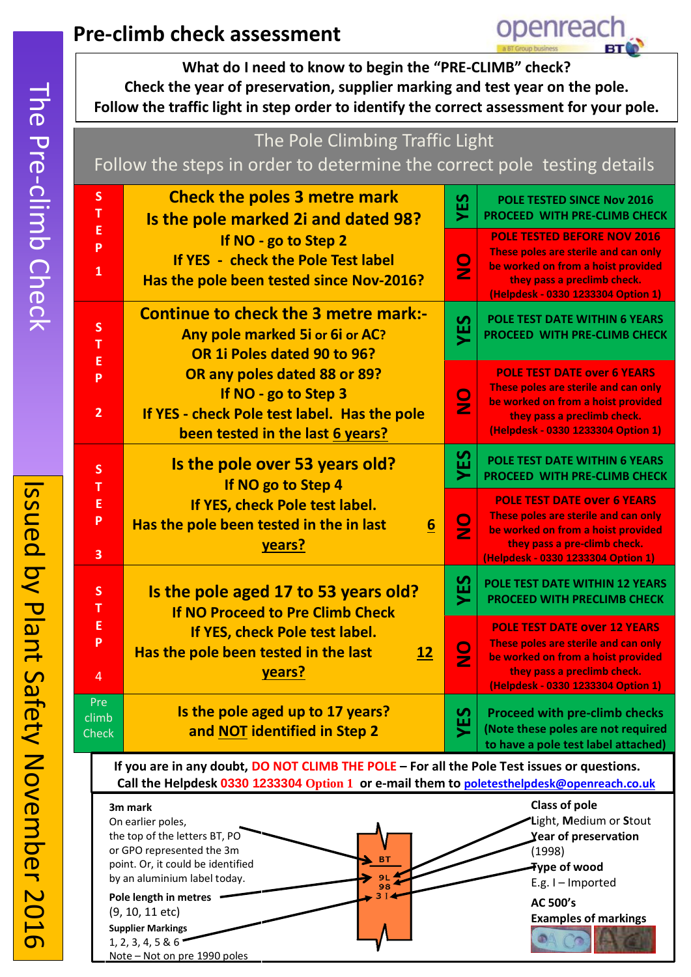# **Pre-climb check assessment**

**What do I need to know to begin the "PRE-CLIMB" check? Check the year of preservation, supplier marking and test year on the pole. Follow the traffic light in step order to identify the correct assessment for your pole.**



**BT**  $\frac{9L}{98}$  (1998)

openreach

**AC 500's** 

**Type of wood**  E.g. I – Imported

**Examples of markings**

or GPO represented the 3m point. Or, it could be identified by an aluminium label today.

Note – Not on pre 1990 poles

**Pole length in metres** (9, 10, 11 etc) **Supplier Markings** 1, 2, 3, 4, 5 & 6